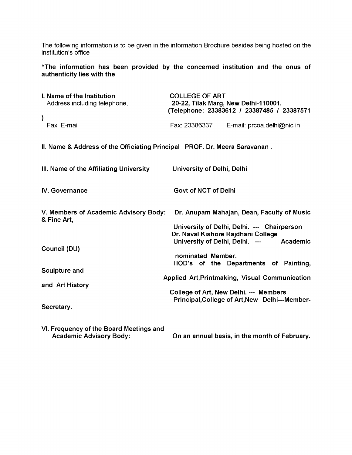The following information is to be given in the information Brochure besides being hosted on the institution's office

**"The information has been provided by the concerned institution and the onus of authenticity lies with the**

| I. Name of the Institution<br>Address including telephone,                 | <b>COLLEGE OF ART</b>       | 20-22, Tilak Marg, New Delhi-110001.<br>(Telephone: 23383612 / 23387485 / 23387571                                              |
|----------------------------------------------------------------------------|-----------------------------|---------------------------------------------------------------------------------------------------------------------------------|
| $\mathcal{E}$<br>Fax, E-mail                                               |                             | Fax: 23386337 E-mail: prcoa.delhi@nic.in                                                                                        |
| II. Name & Address of the Officiating Principal PROF. Dr. Meera Saravanan. |                             |                                                                                                                                 |
| III. Name of the Affiliating University                                    | University of Delhi, Delhi  |                                                                                                                                 |
| <b>IV. Governance</b>                                                      | <b>Govt of NCT of Delhi</b> |                                                                                                                                 |
| V. Members of Academic Advisory Body:<br>& Fine Art,                       |                             | Dr. Anupam Mahajan, Dean, Faculty of Music<br>University of Delhi, Delhi. --- Chairperson<br>Dr. Naval Kishore Rajdhani College |
| Council (DU)                                                               | nominated Member.           | University of Delhi, Delhi. --- Academic<br>HOD's of the Departments of Painting,                                               |
| <b>Sculpture and</b>                                                       |                             | Applied Art, Printmaking, Visual Communication                                                                                  |
| and Art History<br>Secretary.                                              |                             | College of Art, New Delhi. --- Members<br>Principal, College of Art, New Delhi---Member-                                        |
| VI Frequency of the Board Meetings and                                     |                             |                                                                                                                                 |

**VI. Frequency of the Board Meetings and**

**On an annual basis, in the month of February.**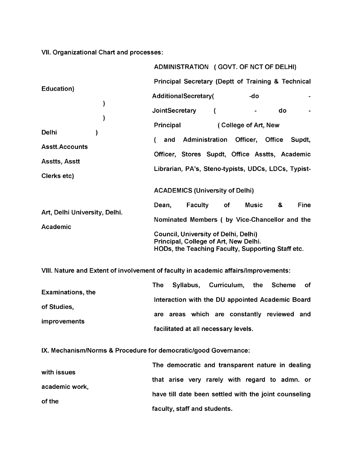**VII. Organizational Chart and processes:**

|                                                                                     |                                                    | ADMINISTRATION (GOVT. OF NCT OF DELHI)                                                                                                    |                |                      |              |               |             |
|-------------------------------------------------------------------------------------|----------------------------------------------------|-------------------------------------------------------------------------------------------------------------------------------------------|----------------|----------------------|--------------|---------------|-------------|
|                                                                                     | Principal Secretary (Deptt of Training & Technical |                                                                                                                                           |                |                      |              |               |             |
| Education)                                                                          | <b>AdditionalSecretary(</b>                        |                                                                                                                                           |                |                      | -do          |               |             |
| )                                                                                   | JointSecretary                                     |                                                                                                                                           |                |                      |              | do            |             |
|                                                                                     | Principal                                          |                                                                                                                                           |                | (College of Art, New |              |               |             |
| <b>Delhi</b>                                                                        | and                                                |                                                                                                                                           | Administration | Officer,             |              | <b>Office</b> | Supdt,      |
| <b>Asstt.Accounts</b>                                                               |                                                    | Officer, Stores Supdt, Office Asstts, Academic                                                                                            |                |                      |              |               |             |
| <b>Asstts, Asstt</b>                                                                |                                                    | Librarian, PA's, Steno-typists, UDCs, LDCs, Typist-                                                                                       |                |                      |              |               |             |
| Clerks etc)                                                                         |                                                    |                                                                                                                                           |                |                      |              |               |             |
|                                                                                     |                                                    | <b>ACADEMICS (University of Delhi)</b>                                                                                                    |                |                      |              |               |             |
| Art, Delhi University, Delhi.                                                       | Dean,                                              | Faculty                                                                                                                                   | of             |                      | <b>Music</b> | &             | <b>Fine</b> |
| Academic                                                                            |                                                    | Nominated Members (by Vice-Chancellor and the                                                                                             |                |                      |              |               |             |
|                                                                                     |                                                    | <b>Council, University of Delhi, Delhi)</b><br>Principal, College of Art, New Delhi.<br>HODs, the Teaching Faculty, Supporting Staff etc. |                |                      |              |               |             |
| VIII. Nature and Extent of involvement of faculty in academic affairs/Improvements: |                                                    |                                                                                                                                           |                |                      |              |               |             |
| <b>Examinations, the</b>                                                            | <b>The</b>                                         | Syllabus, Curriculum,                                                                                                                     |                |                      | the          | <b>Scheme</b> | оf          |

|                     |  |  | Interaction with the DU appointed Academic Board |  |
|---------------------|--|--|--------------------------------------------------|--|
| of Studies,         |  |  |                                                  |  |
|                     |  |  | are areas which are constantly reviewed and      |  |
| <i>improvements</i> |  |  |                                                  |  |
|                     |  |  | facilitated at all necessary levels.             |  |

**IX. Mechanism/Norms & Procedure for democratic/good Governance:**

|                | The democratic and transparent nature in dealing      |
|----------------|-------------------------------------------------------|
| with issues    | that arise very rarely with regard to admn. or        |
| academic work, | have till date been settled with the joint counseling |
| of the         |                                                       |
|                | faculty, staff and students.                          |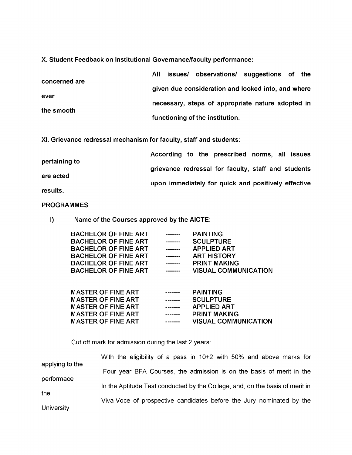**X. Student Feedback on Institutional Governance/faculty performance:**

| concerned are | issues/ observations/ suggestions of the<br>AIL    |
|---------------|----------------------------------------------------|
|               | given due consideration and looked into, and where |
| ever          | necessary, steps of appropriate nature adopted in  |
| the smooth    | functioning of the institution.                    |

**XI. Grievance redressal mechanism for faculty, staff and students:**

| pertaining to | According to the prescribed norms, all issues       |
|---------------|-----------------------------------------------------|
|               | grievance redressal for faculty, staff and students |
| are acted     | upon immediately for quick and positively effective |
| results.      |                                                     |

## **PROGRAMMES**

**I) Name of the Courses approved by the AICTE:**

| <b>BACHELOR OF FINE ART</b> | -------         | <b>PAINTING</b>             |
|-----------------------------|-----------------|-----------------------------|
| <b>BACHELOR OF FINE ART</b> | --------        | <b>SCULPTURE</b>            |
| <b>BACHELOR OF FINE ART</b> | -------         | <b>APPLIED ART</b>          |
| <b>BACHELOR OF FINE ART</b> | -------         | <b>ART HISTORY</b>          |
| <b>BACHELOR OF FINE ART</b> | -------         | <b>PRINT MAKING</b>         |
| <b>BACHELOR OF FINE ART</b> | $- - - - - - -$ | <b>VISUAL COMMUNICATION</b> |
|                             |                 |                             |

| <b>MASTER OF FINE ART</b> | ------- | <b>PAINTING</b>             |
|---------------------------|---------|-----------------------------|
| <b>MASTER OF FINE ART</b> | ------- | <b>SCULPTURE</b>            |
| <b>MASTER OF FINE ART</b> | ------- | <b>APPLIED ART</b>          |
| <b>MASTER OF FINE ART</b> | ------- | <b>PRINT MAKING</b>         |
| <b>MASTER OF FINE ART</b> | ------- | <b>VISUAL COMMUNICATION</b> |
|                           |         |                             |

Cut off mark for admission during the last 2 years:

| applying to the   | With the eligibility of a pass in 10+2 with 50% and above marks for          |
|-------------------|------------------------------------------------------------------------------|
|                   | Four year BFA Courses, the admission is on the basis of merit in the         |
| performace        | In the Aptitude Test conducted by the College, and, on the basis of merit in |
| the               | Viva-Voce of prospective candidates before the Jury nominated by the         |
| <b>University</b> |                                                                              |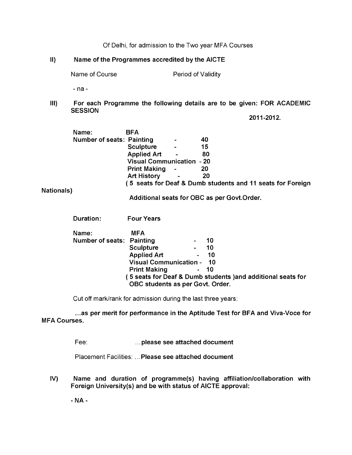Of Delhi, for admission to the Two year MFA Courses

#### **II) Name of the Programmes accredited by the AICTE**

Name of Course **Period of Validity** 

- na -

**III) For each Programme the following details are to be given: FOR ACADEMIC SESSION**

**2011-2012.**

| Name:                            | BFA                              |                |                                                            |
|----------------------------------|----------------------------------|----------------|------------------------------------------------------------|
| <b>Number of seats: Painting</b> |                                  |                | 40                                                         |
|                                  | <b>Sculpture</b>                 | $\blacksquare$ | 15                                                         |
|                                  | <b>Applied Art</b>               | $\blacksquare$ | 80                                                         |
|                                  | <b>Visual Communication - 20</b> |                |                                                            |
|                                  | <b>Print Making</b>              | ۰              | 20                                                         |
|                                  | <b>Art History</b>               | $\blacksquare$ | 20                                                         |
|                                  |                                  |                | (5 seats for Deaf & Dumb students and 11 seats for Foreign |
|                                  |                                  |                |                                                            |

**Nationals)**

**Additional seats for OBC as per Govt.Order.**

| Duration: | <b>Four Years</b> |
|-----------|-------------------|
|           |                   |

| Name:                     | <b>MFA</b>                       |                |                                                             |
|---------------------------|----------------------------------|----------------|-------------------------------------------------------------|
| Number of seats: Painting |                                  |                | 10                                                          |
|                           | <b>Sculpture</b>                 | $\blacksquare$ | 10                                                          |
|                           | <b>Applied Art</b>               | $\blacksquare$ | 10                                                          |
|                           | <b>Visual Communication - 10</b> |                |                                                             |
|                           | <b>Print Making</b>              |                | - 10                                                        |
|                           | OBC students as per Govt. Order. |                | (5 seats for Deaf & Dumb students )and additional seats for |

Cut off mark/rank for admission during the last three years:

**...as per merit for performance in the Aptitude Test for BFA and Viva-Voce for MFA Courses.**

Fee: **... please see attached document**

Placement Facilities: . **Please see attached document**

**IV) Name and duration of programme(s) having affiliation/collaboration with Foreign University(s) and be with status of AICTE approval:**

**- NA -**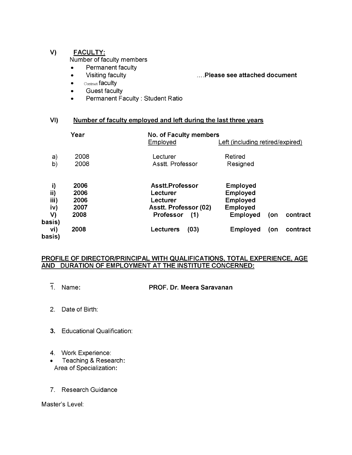## **V) FACULTY:**

Number of faculty members

- **•** Permanent faculty
- 

## **•** Visiting faculty .... **Please see attached document**

- Contract faculty
- **•** Guest faculty
- **•** Permanent Faculty : Student Ratio

## **VI) Number of faculty employed and left during the last three years**

|                                          | Year                                 | No. of Faculty members<br>Employed                                                   | Left (including retired/expired)                                                                        |
|------------------------------------------|--------------------------------------|--------------------------------------------------------------------------------------|---------------------------------------------------------------------------------------------------------|
| a)<br>b)                                 | 2008<br>2008                         | Lecturer<br>Asstt. Professor                                                         | Retired<br>Resigned                                                                                     |
| i)<br>ii)<br>iii)<br>iv)<br>V)<br>basis) | 2006<br>2006<br>2006<br>2007<br>2008 | Asstt.Professor<br>Lecturer<br>Lecturer<br>Asstt. Professor (02)<br>Professor<br>(1) | <b>Employed</b><br><b>Employed</b><br><b>Employed</b><br>Employed<br>contract<br><b>Employed</b><br>(on |
| vi)<br>basis)                            | 2008                                 | (03)<br>Lecturers                                                                    | contract<br><b>Employed</b><br>(on                                                                      |

## **PROFILE OF DIRECTOR/PRINCIPAL WITH QUALIFICATIONS, TOTAL EXPERIENCE, AGE AND DURATION OF EMPLOYMENT AT THE INSTITUTE CONCERNED:**

1. Name: PROF. Dr. Meera Saravanan

- 2. Date of Birth:
- 3. Educational Qualification:
- 4. Work Experience:
- Teaching & Research: Area of Specialization:
- 7. Research Guidance

Master's Level: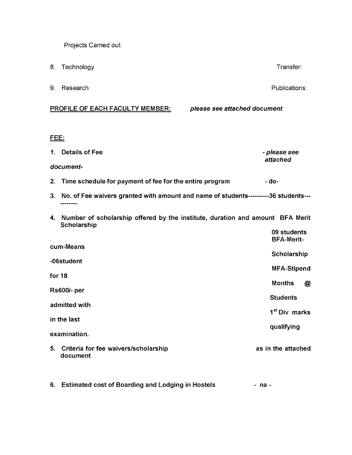Projects Carried out:

8. Technology **Transfer:** 8. Technology **Transfer:** 8. The set of the set of the set of the set of the set of the set of the set of the set of the set of the set of the set of the set of the set of the set of the set of th

9. Research Publications:

## **PROFILE OF EACH FACULTY MEMBER:** *please see attached document*

### **FEE:**

*1.* **Details of Fee -** *please see attached document-*

- 2. Time schedule for payment of fee for the entire program  **do-**
- **3. No. of Fee waivers granted with amount and name of students----------36 students---** --------
- **4. Number of scholarship offered by the institute, duration and amount BFA Merit Scholarship 09 students**

|                                                        | <b>09 students</b><br><b>BFA-Merit-</b> |
|--------------------------------------------------------|-----------------------------------------|
| cum-Means                                              | Scholarship                             |
| -06student                                             | <b>MFA-Stipend</b>                      |
| for 18                                                 | <b>Months</b><br>@                      |
| <b>Rs600/- per</b>                                     | <b>Students</b>                         |
| admitted with                                          | 1 <sup>st</sup> Div marks               |
| in the last                                            | qualifying                              |
| examination.                                           |                                         |
| Criteria for fee waivers/scholarship<br>5.<br>document | as in the attached                      |
|                                                        |                                         |

**6. Estimated cost of Boarding and Lodging in Hostels na -**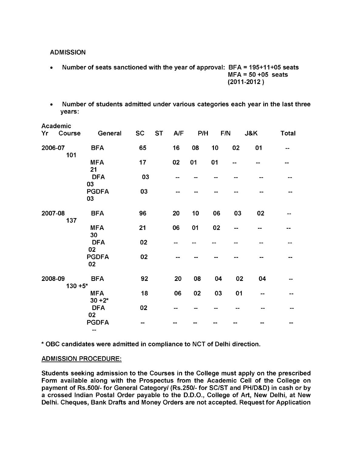**ADMISSION**

- **Number of seats sanctioned with the year of approval: BFA = 195+11+05 seats MFA = 50 +05 seats (2011-2012 )**
- **Number of students admitted under various categories each year in the last three years:**

|         | Academic              |                         |           |           |     |     |     |    |     |              |
|---------|-----------------------|-------------------------|-----------|-----------|-----|-----|-----|----|-----|--------------|
| Yr      | Course                | General                 | <b>SC</b> | <b>ST</b> | A/F | P/H | F/N |    | J&K | <b>Total</b> |
|         | 2006-07<br>101        | <b>BFA</b>              | 65        |           | 16  | 08  | 10  | 02 | 01  |              |
|         |                       | <b>MFA</b><br>21        | 17        |           | 02  | 01  | 01  | -- |     |              |
|         |                       | <b>DFA</b><br>03        | 03        |           |     |     |     |    |     |              |
|         |                       | <b>PGDFA</b><br>03      | 03        |           |     |     |     |    |     |              |
| 2007-08 | 137                   | <b>BFA</b>              | 96        |           | 20  | 10  | 06  | 03 | 02  |              |
|         |                       | <b>MFA</b><br>30        | 21        |           | 06  | 01  | 02  |    |     |              |
|         |                       | <b>DFA</b><br>02        | 02        |           |     |     |     |    |     |              |
|         |                       | <b>PGDFA</b><br>02      | 02        |           |     |     |     |    |     |              |
|         | 2008-09<br>$130 + 5*$ | <b>BFA</b>              | 92        |           | 20  | 08  | 04  | 02 | 04  |              |
|         |                       | <b>MFA</b><br>$30 + 2*$ | 18        |           | 06  | 02  | 03  | 01 |     |              |
|         |                       | <b>DFA</b><br>02        | 02        |           |     |     |     |    |     |              |
|         |                       | <b>PGDFA</b><br>---     |           |           |     |     |     |    |     |              |

**\* OBC candidates were admitted in compliance to NCT of Delhi direction.**

## **ADMISSION PROCEDURE:**

**Students seeking admission to the Courses in the College must apply on the prescribed Form available along with the Prospectus from the Academic Cell of the College on payment of Rs.500/- for General Category/ (Rs.250/- for SC/ST and PH/D&D) in cash or by a crossed Indian Postal Order payable to the D.D.O., College of Art, New Delhi, at New Delhi. Cheques, Bank Drafts and Money Orders are not accepted. Request for Application**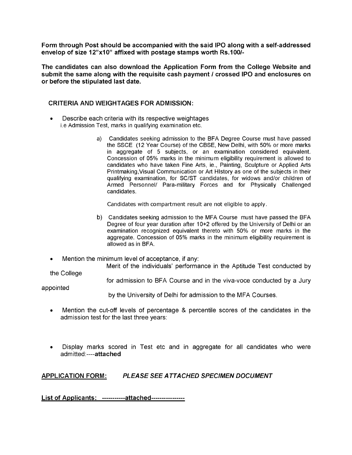**Form through Post should be accompanied with the said IPO along with a self-addressed envelop of size 12"x10" affixed with postage stamps worth Rs.100/-**

**The candidates can also download the Application Form from the College Website and submit the same along with the requisite cash payment / crossed IPO and enclosures on or before the stipulated last date.**

### **CRITERIA AND WEIGHTAGES FOR ADMISSION:**

- Describe each criteria with its respective weightages i.e Admission Test, marks in qualifying examination etc.
	- a) Candidates seeking admission to the BFA Degree Course must have passed the SSCE (12 Year Course) of the CBSE, New Delhi, with 50% or more marks in aggregate of 5 subjects, or an examination considered equivalent. Concession of 05% marks in the minimum eligibility requirement is allowed to candidates who have taken Fine Arts, ie., Painting, Sculpture or Applied Arts Printmaking,Visual Communication or Art HIstory as one of the subjects in their qualifying examination, for SC/ST candidates, for widows and/or children of Armed Personnel/ Para-military Forces and for Physically Challenged candidates.

Candidates with compartment result are not eligible to apply.

- b) Candidates seeking admission to the MFA Course must have passed the BFA Degree of four year duration after 10+2 offered by the University of Delhi or an examination recognized equivalent thereto with 50% or more marks in the aggregate. Concession of 05% marks in the minimum eligibility requirement is allowed as in BFA.
- Mention the minimum level of acceptance, if any:

Merit of the individuals' performance in the Aptitude Test conducted by

the College

for admission to BFA Course and in the viva-voce conducted by a Jury

appointed

by the University of Delhi for admission to the MFA Courses.

- Mention the cut-off levels of percentage & percentile scores of the candidates in the admission test for the last three years:
- Display marks scored in Test etc and in aggregate for all candidates who were admitted:----**attached**

**APPLICATION FORM:** *PLEASE SEE ATTACHED SPECIMEN DOCUMENT*

**List of Applicants: -----------attached----------------**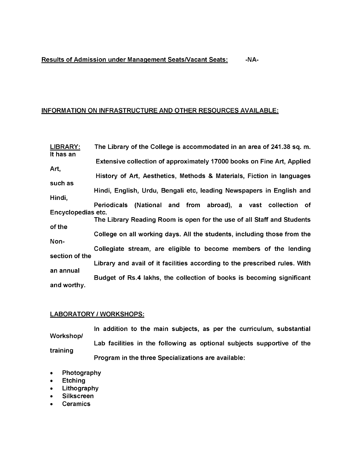## **Results of Admission under Management Seats/Vacant Seats: -NA-**

### **INFORMATION ON INFRASTRUCTURE AND OTHER RESOURCES AVAILABLE:**

**LIBRARY: It has an Art, such as Hindi, The Library of the College is accommodated in an area of 241.38 sq. m. Extensive collection of approximately 17000 books on Fine Art, Applied History of Art, Aesthetics, Methods & Materials, Fiction in languages Hindi, English, Urdu, Bengali etc, leading Newspapers in English and Periodicals (National and from abroad), a vast collection of Encyclopedias etc. The Library Reading Room is open for the use of all Staff and Students of the College on all working days. All the students, including those from the Non-Collegiate stream, are eligible to become members of the lending section of the Library and avail of it facilities according to the prescribed rules. With an annual Budget of Rs.4 lakhs, the collection of books is becoming significant and worthy.**

#### **LABORATORY / WORKSHOPS:**

**Workshop/ training In addition to the main subjects, as per the curriculum, substantial Lab facilities in the following as optional subjects supportive of the Program in the three Specializations are available:**

- **Photography**
- **Etching**
- **Lithography**
- **Silkscreen**
- **Ceramics**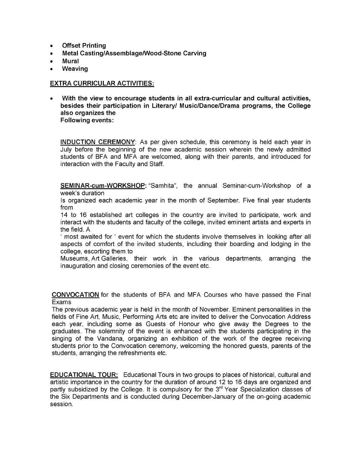- **Offset Printing**
- **Metal Casting/Assemblage/Wood-Stone Carving**
- **Mural**
- **Weaving**

## **EXTRA CURRICULAR ACTIVITIES:**

**• With the view to encourage students in all extra-curricular and cultural activities, besides their participation in Literary/ Music/Dance/Drama programs, the College also organizes the Following events:**

**INDUCTION CEREMONY**: As per given schedule, this ceremony is held each year in July before the beginning of the new academic session wherein the newly admitted students of BFA and MFA are welcomed, along with their parents, and introduced for interaction with the Faculty and Staff.

**SEMINAR-cum-WORKSHOP:** "Samhita", the annual Seminar-cum-Workshop of a week's duration

Is organized each academic year in the month of September. Five final year students from

14 to 16 established art colleges in the country are invited to participate, work and interact with the students and faculty of the college, invited eminent artists and experts in the field. A

' most awaited for ' event for which the students involve themselves in looking after all aspects of comfort of the invited students, including their boarding and lodging in the college, escorting them to

Museums, Art Galleries, their work in the various departments, arranging the inauguration and closing ceremonies of the event etc.

**CONVOCATION** for the students of BFA and MFA Courses who have passed the Final Exams

The previous academic year is held in the month of November. Eminent personalities in the fields of Fine Art, Music, Performing Arts etc are invited to deliver the Convocation Address each year, including some as Guests of Honour who give away the Degrees to the graduates. The solemnity of the event is enhanced with the students participating in the singing of the Vandana, organizing an exhibition of the work of the degree receiving students prior to the Convocation ceremony, welcoming the honored guests, parents of the students, arranging the refreshments etc.

**EDUCATIONAL TOUR:** Educational Tours in two groups to places of historical, cultural and artistic importance in the country for the duration of around 12 to 16 days are organized and partly subsidized by the College. It is compulsory for the 3<sup>rd</sup> Year Specialization classes of the Six Departments and is conducted during December-January of the on-going academic session.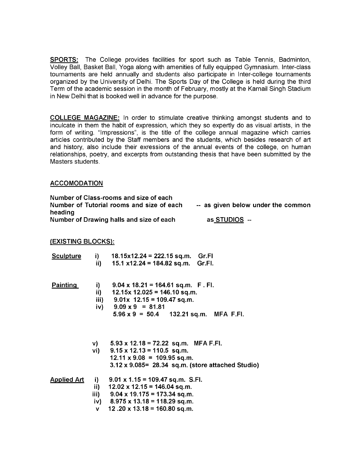**SPORTS:** The College provides facilities for sport such as Table Tennis, Badminton, Volley Ball, Basket Ball, Yoga along with amenities of fully equipped Gymnasium. Inter-class tournaments are held annually and students also participate in Inter-college tournaments organized by the University of Delhi. The Sports Day of the College is held during the third Term of the academic session in the month of February, mostly at the Karnail Singh Stadium in New Delhi that is booked well in advance for the purpose.

**COLLEGE MAGAZINE:** In order to stimulate creative thinking amongst students and to inculcate in them the habit of expression, which they so expertly do as visual artists, in the form of writing. "Impressions", is the title of the college annual magazine which carries articles contributed by the Staff members and the students, which besides research of art and history, also include their exressions of the annual events of the college, on human relationships, poetry, and excerpts from outstanding thesis that have been submitted by the Masters students.

#### **ACCOMODATION**

| Number of Class-rooms and size of each    |                                    |
|-------------------------------------------|------------------------------------|
| Number of Tutorial rooms and size of each | -- as given below under the common |
| heading                                   |                                    |
| Number of Drawing halls and size of each  | as STUDIOS --                      |

## **(EXISTING BLOCKS):**

| <b>Sculpture</b>   | i) —<br>$\mathbf{ii}$ | $18.15x12.24 = 222.15 sq.m.$ Gr.Fl<br>15.1 x12.24 = 184.82 sq.m. Gr.Fl.                                                                                                                               |
|--------------------|-----------------------|-------------------------------------------------------------------------------------------------------------------------------------------------------------------------------------------------------|
| <b>Painting</b>    | i) –<br>ii)           | $9.04 \times 18.21 = 164.61$ sq.m. F. FI.<br>$12.15x$ 12.025 = 146.10 sq.m.<br>iii) $9.01x$ 12.15 = 109.47 sq.m.<br>iv) $9.09 \times 9 = 81.81$<br>$5.96 \times 9 = 50.4$ 132.21 sq.m. MFA F.FI.      |
|                    | $\mathsf{v}$ )        | $5.93 \times 12.18 = 72.22$ sq.m. MFA F.FI.<br>vi) $9.15 \times 12.13 = 110.5$ sq.m.<br>$12.11 \times 9.08 = 109.95$ sq.m.<br>$3.12 \times 9.085$ = 28.34 sq.m. (store attached Studio)               |
| <u>Applied Art</u> | i) —<br>ii) —<br>V    | $9.01 \times 1.15 = 109.47$ sq.m. S.Fl.<br>$12.02 \times 12.15 = 146.04$ sq.m.<br>iii) $9.04 \times 19.175 = 173.34$ sq.m.<br>iv) $8.975 \times 13.18 = 118.29$ sq.m.<br>12.20 x 13.18 = 160.80 sq.m. |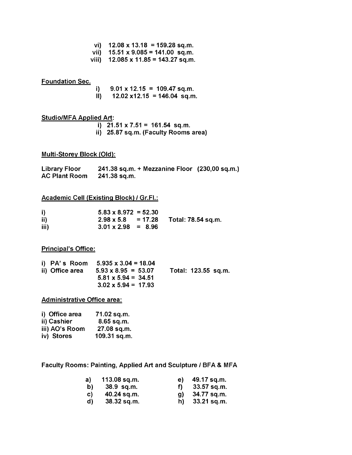- **vi) 12.08 x 13.18 = 159.28 sq.m.**
- **vii) 15.51 x 9.085 = 141.00 sq.m.**
- **viii) 12.085 x 11.85 = 143.27 sq.m.**

## **Foundation Sec.**

- **i) 9.01 x 12.15 = 109.47 sq.m.**
- **II) 12.02 x12.15 = 146.04 sq.m.**

### **Studio/MFA Applied Art:**

**i) 21.51 x 7.51 = 161.54 sq.m. ii) 25.87 sq.m. (Faculty Rooms area)**

#### **Multi-Storey Block (Old):**

| <b>Library Floor</b> | 241.38 sq.m. + Mezzanine Floor (230,00 sq.m.) |  |
|----------------------|-----------------------------------------------|--|
| <b>AC Plant Room</b> | 241.38 sq.m.                                  |  |

#### **Academic Cell (Existing Block) / Gr.Fl.:**

| i)   | $5.83 \times 8.972 = 52.30$ |                                              |
|------|-----------------------------|----------------------------------------------|
| ii)  |                             | $2.98 \times 5.8$ = 17.28 Total: 78.54 sq.m. |
| iii) | $3.01 \times 2.98 = 8.96$   |                                              |

#### **Principal's Office:**

| ii) Office area | i) $PA'$ s Room 5.935 x 3.04 = 18.04<br>$5.93 \times 8.95 = 53.07$<br>$5.81 \times 5.94 = 34.51$ | Total: 123.55 sq.m. |  |
|-----------------|--------------------------------------------------------------------------------------------------|---------------------|--|
|                 | $3.02 \times 5.94 = 17.93$                                                                       |                     |  |

#### **Administrative Office area:**

| i) Office area | 71.02 sq.m.  |
|----------------|--------------|
| ii) Cashier    | $8.65$ sq.m. |
| iii) AO's Room | 27.08 sq.m.  |
| iv) Stores     | 109.31 sq.m. |

**Faculty Rooms: Painting, Applied Art and Sculpture / BFA & MFA**

| a) | $113.08$ sq.m. | e) | 49.17 sq.m.   |
|----|----------------|----|---------------|
| b) | 38.9 sq.m.     | f) | 33.57 sq.m.   |
| C) | 40.24 sq.m.    | Q) | 34.77 sq.m.   |
| d) | 38.32 sq.m.    | h) | $33.21$ sq.m. |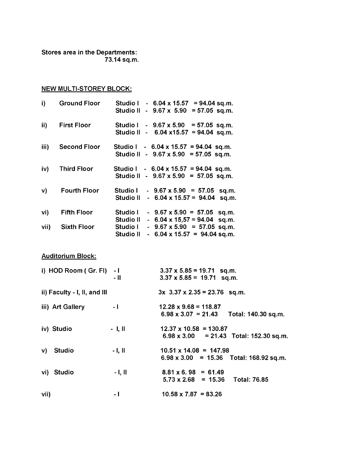**Stores area in the Departments: 73.14 sq.m.**

# **NEW MULTI-STOREY BLOCK:**

| <b>Ground Floor</b> | $= 94.04$ sq.m.<br><b>Studio I</b><br>$-6.04 \times 15.57$ |
|---------------------|------------------------------------------------------------|
|                     | $= 57.05$ sq.m.<br>Studio II<br>$-9.67 \times 5.90$        |
| <b>First Floor</b>  | Studio I<br>$-9.67 \times 5.90 = 57.05$ sq.m.              |
|                     | $-6.04 \times 15.57 = 94.04$ sq.m.<br>Studio II            |
| <b>Second Floor</b> | Studio I - $6.04 \times 15.57 = 94.04$ sq.m.               |
|                     | Studio II - $9.67 \times 5.90 = 57.05$ sq.m.               |
| <b>Third Floor</b>  | Studio I<br>$-6.04 \times 15.57 = 94.04$ sq.m.             |
|                     | Studio II - $9.67 \times 5.90 = 57.05$ sq.m.               |
| <b>Fourth Floor</b> | Studio I<br>$-9.67 \times 5.90 = 57.05$<br>sq.m.           |
|                     | Studio II<br>$-6.04 \times 15.57 = 94.04$<br>sq.m.         |
| <b>Fifth Floor</b>  | Studio I<br>$-9.67 \times 5.90 = 57.05$<br>sq.m.           |
|                     | Studio II<br>$-6.04 \times 15,57 = 94.04$<br>sq.m.         |
| <b>Sixth Floor</b>  | <b>Studio I</b><br>$-9.67 \times 5.90 = 57.05$ sq.m.       |
|                     | Studio II<br>$-6.04 \times 15.57 = 94.04$ sq.m.            |
|                     |                                                            |

**Auditorium Block:**

| i) HOD Room ( $Gr.$ FI) $-1$ |          | $3.37 \times 5.85 = 19.71$ sq.m.                  |
|------------------------------|----------|---------------------------------------------------|
|                              | - 11     | $3.37 \times 5.85 = 19.71$ sq.m.                  |
| ii) Faculty - I, II, and III |          | $3x$ 3.37 x 2.35 = 23.76 sq.m.                    |
| iii) Art Gallery             | $-1$     | $12.28 \times 9.68 = 118.87$                      |
|                              |          | $6.98 \times 3.07 = 21.43$<br>Total: 140.30 sq.m. |
| iv) Studio                   | $-1, 11$ | $12.37 \times 10.58 = 130.87$                     |
|                              |          | $6.98 \times 3.00 = 21.43$ Total: 152.30 sq.m.    |
| Studio<br>$\mathsf{v}$       | $-1, 11$ | $10.51 \times 14.08 = 147.98$                     |
|                              |          | $6.98 \times 3.00 = 15.36$ Total: 168.92 sq.m.    |
| vi) Studio                   | $-1, 11$ | $8.81 \times 6.98 = 61.49$                        |
|                              |          | <b>Total: 76.85</b><br>$5.73 \times 2.68 = 15.36$ |
| vii)                         | - 1      | $10.58 \times 7.87 = 83.26$                       |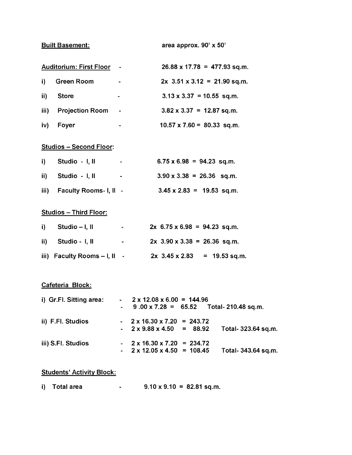**Built Basement: area approx. 90' x 50'**

| <b>Auditorium: First Floor</b> |                        |                | $26.88 \times 17.78 = 477.93$ sq.m. |  |  |
|--------------------------------|------------------------|----------------|-------------------------------------|--|--|
| i).                            | <b>Green Room</b>      | ٠              | $2x$ 3.51 x 3.12 = 21.90 sq.m.      |  |  |
| ii)                            | <b>Store</b>           | -              | $3.13 \times 3.37 = 10.55$ sq.m.    |  |  |
| iii)                           | <b>Projection Room</b> | $\blacksquare$ | $3.82 \times 3.37 = 12.87$ sq.m.    |  |  |
| iv)                            | Foyer                  | ۰              | $10.57 \times 7.60 = 80.33$ sq.m.   |  |  |

# **Studios - Second Floor:**

| i) Studio - I, II           | <b>Contract Contract</b> | $6.75 \times 6.98 = 94.23$ sq.m. |  |  |
|-----------------------------|--------------------------|----------------------------------|--|--|
| ii) Studio - I, II          | ۰.                       | $3.90 \times 3.38 = 26.36$ sq.m. |  |  |
| iii) Faculty Rooms- I, II - |                          | $3.45 \times 2.83 = 19.53$ sq.m. |  |  |

# **Studios - Third Floor:**

| i) Studio $-1$ , II                     | $\mathbf{m} = \mathbf{0}$ . | $2x$ 6.75 x 6.98 = 94.23 sq.m. |
|-----------------------------------------|-----------------------------|--------------------------------|
| ii) Studio - I, II                      | <b>All Control</b>          | $2x$ 3.90 x 3.38 = 26.36 sq.m. |
| iii) Faculty Rooms $-1$ , $\parallel$ - |                             | $2x$ 3.45 x 2.83 = 19.53 sq.m. |

## **Cafeteria Block:**

| i) Gr.Fl. Sitting area: | $-2 \times 12.08 \times 6.00 = 144.96$                        |  |  |  |  |
|-------------------------|---------------------------------------------------------------|--|--|--|--|
|                         | $-$ 9.00 x 7.28 = 65.52 Total-210.48 sq.m.                    |  |  |  |  |
| ii) F.Fl. Studios       | $-2 \times 16.30 \times 7.20 = 243.72$                        |  |  |  |  |
|                         | $-2 \times 9.88 \times 4.50 = 88.92$<br>Total- 323.64 sq.m.   |  |  |  |  |
| iii) S.Fl. Studios      | $-2 \times 16.30 \times 7.20 = 234.72$                        |  |  |  |  |
|                         | $-2 \times 12.05 \times 4.50 = 108.45$<br>Total- 343.64 sq.m. |  |  |  |  |

# **Students' Activity Block:**

| i) Total area |  | $9.10 \times 9.10 = 82.81$ sq.m. |  |
|---------------|--|----------------------------------|--|
|---------------|--|----------------------------------|--|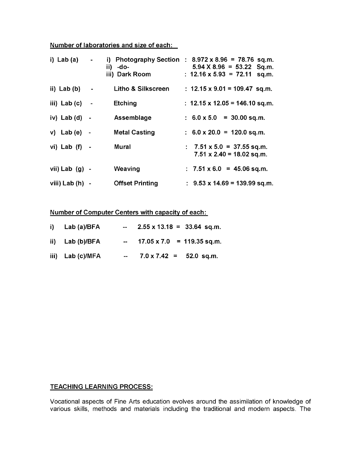## **Number of laboratories and size of each:**

| i) Lab $(a)$      | $\blacksquare$ | -do-<br>ii).<br>iii) Dark Room | i) Photography Section : $8.972 \times 8.96 = 78.76$ sq.m.<br>$5.94 \times 8.96 = 53.22$<br>Sq.m.<br>: $12.16 \times 5.93 = 72.11$<br>sq.m. |
|-------------------|----------------|--------------------------------|---------------------------------------------------------------------------------------------------------------------------------------------|
| ii) Lab $(b)$     | $\sim 100$     | Litho & Silkscreen             | : $12.15 \times 9.01 = 109.47$ sq.m.                                                                                                        |
| iii) Lab $(c)$    | $\sim$ $-$     | <b>Etching</b>                 | : $12.15 \times 12.05 = 146.10$ sq.m.                                                                                                       |
| iv) Lab $(d)$ -   |                | Assemblage                     | $: 6.0 \times 5.0 = 30.00$ sq.m.                                                                                                            |
| $v)$ Lab (e) -    |                | <b>Metal Casting</b>           | $: 6.0 \times 20.0 = 120.0$ sq.m.                                                                                                           |
| vi) Lab (f) -     |                | <b>Mural</b>                   | $: 7.51 \times 5.0 = 37.55$ sq.m.<br>$7.51 \times 2.40 = 18.02$ sq.m.                                                                       |
| vii) Lab $(g)$ -  |                | Weaving                        | $: 7.51 \times 6.0 = 45.06$ sq.m.                                                                                                           |
| viii) Lab $(h) -$ |                | <b>Offset Printing</b>         | $\pm$ 9.53 x 14.69 = 139.99 sq.m.                                                                                                           |

**Number of Computer Centers with capacity of each:**

| i) Lab $(a)/BFA$  | $\sim$ $\sim$ | $2.55 \times 13.18 = 33.64$ sq.m. |
|-------------------|---------------|-----------------------------------|
| ii) Lab $(b)/BFA$ |               | $-$ 17.05 x 7.0 = 119.35 sq.m.    |
| iii) Lab (c)/MFA  | $\sim$ $\sim$ | $7.0 \times 7.42 = 52.0$ sq.m.    |

# **TEACHING LEARNING PROCESS:**

Vocational aspects of Fine Arts education evolves around the assimilation of knowledge of various skills, methods and materials including the traditional and modern aspects. The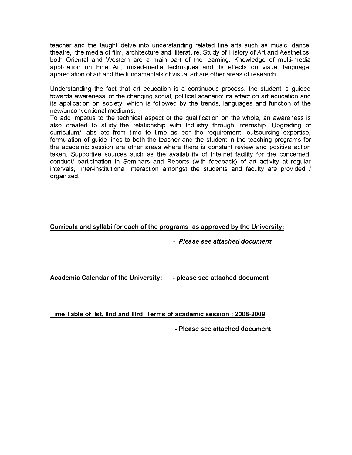teacher and the taught delve into understanding related fine arts such as music, dance, theatre, the media of film, architecture and literature. Study of History of Art and Aesthetics, both Oriental and Western are a main part of the learning. Knowledge of multi-media application on Fine Art, mixed-media techniques and its effects on visual language, appreciation of art and the fundamentals of visual art are other areas of research.

Understanding the fact that art education is a continuous process, the student is guided towards awareness of the changing social, political scenario; its effect on art education and its application on society, which is followed by the trends, languages and function of the new/unconventional mediums.

To add impetus to the technical aspect of the qualification on the whole, an awareness is also created to study the relationship with Industry through internship. Upgrading of curriculum/ labs etc from time to time as per the requirement, outsourcing expertise, formulation of guide lines to both the teacher and the student in the teaching programs for the academic session are other areas where there is constant review and positive action taken. Supportive sources such as the availability of Internet facility for the concerned, conduct/ participation in Seminars and Reports (with feedback) of art activity at regular intervals, Inter-institutional interaction amongst the students and faculty are provided / organized.

## **Curricula and syllabi for each of the programs as approved by the University:**

**-** *Please see attached document*

**Academic Calendar of the University: - please see attached document**

**Time Table of Ist, IInd and IIIrd Terms of academic session : 2008-2009**

**- Please see attached document**